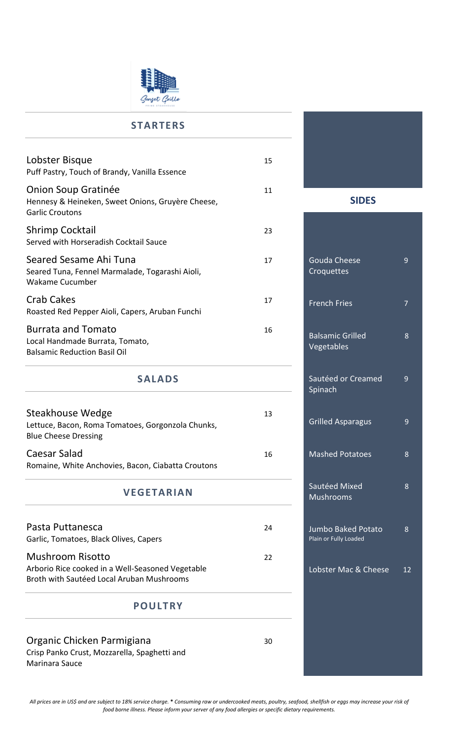

## **STARTERS**

| Lobster Bisque<br>Puff Pastry, Touch of Brandy, Vanilla Essence                                           | 15 |  |
|-----------------------------------------------------------------------------------------------------------|----|--|
| <b>Onion Soup Gratinée</b><br>Hennesy & Heineken, Sweet Onions, Gruyère Cheese,<br><b>Garlic Croutons</b> | 11 |  |
| <b>Shrimp Cocktail</b><br>Served with Horseradish Cocktail Sauce                                          | 23 |  |
| Seared Sesame Ahi Tuna<br>Seared Tuna, Fennel Marmalade, Togarashi Aioli,<br>Wakame Cucumber              | 17 |  |
| <b>Crab Cakes</b><br>Roasted Red Pepper Aioli, Capers, Aruban Funchi                                      | 17 |  |
| <b>Burrata and Tomato</b><br>Local Handmade Burrata, Tomato,<br><b>Balsamic Reduction Basil Oil</b>       | 16 |  |
| <b>SALADS</b>                                                                                             |    |  |
|                                                                                                           |    |  |

| Steakhouse Wedge                                   | 13 |
|----------------------------------------------------|----|
| Lettuce, Bacon, Roma Tomatoes, Gorgonzola Chunks,  |    |
| <b>Blue Cheese Dressing</b>                        |    |
| Caesar Salad                                       | 16 |
| Romaine, White Anchovies, Bacon, Ciabatta Croutons |    |

## **VEGETARIAN**

| Pasta Puttanesca<br>Garlic, Tomatoes, Black Olives, Capers                                                               | 24 |
|--------------------------------------------------------------------------------------------------------------------------|----|
| <b>Mushroom Risotto</b><br>Arborio Rice cooked in a Well-Seasoned Vegetable<br>Broth with Sautéed Local Aruban Mushrooms | 22 |

### **POULTRY**

Organic Chicken Parmigiana 30 Crisp Panko Crust, Mozzarella, Spaghetti and Marinara Sauce

**SIDES** 

| <b>Gouda Cheese</b><br>Croquettes           | 9  |
|---------------------------------------------|----|
| <b>French Fries</b>                         | 7  |
| <b>Balsamic Grilled</b><br>Vegetables       | 8  |
| Sautéed or Creamed<br>Spinach               | 9  |
| <b>Grilled Asparagus</b>                    | 9  |
| <b>Mashed Potatoes</b>                      | 8  |
| Sautéed Mixed<br><b>Mushrooms</b>           | 8  |
| Jumbo Baked Potato<br>Plain or Fully Loaded | 8  |
| Lobster Mac & Cheese                        | 12 |
|                                             |    |
|                                             |    |